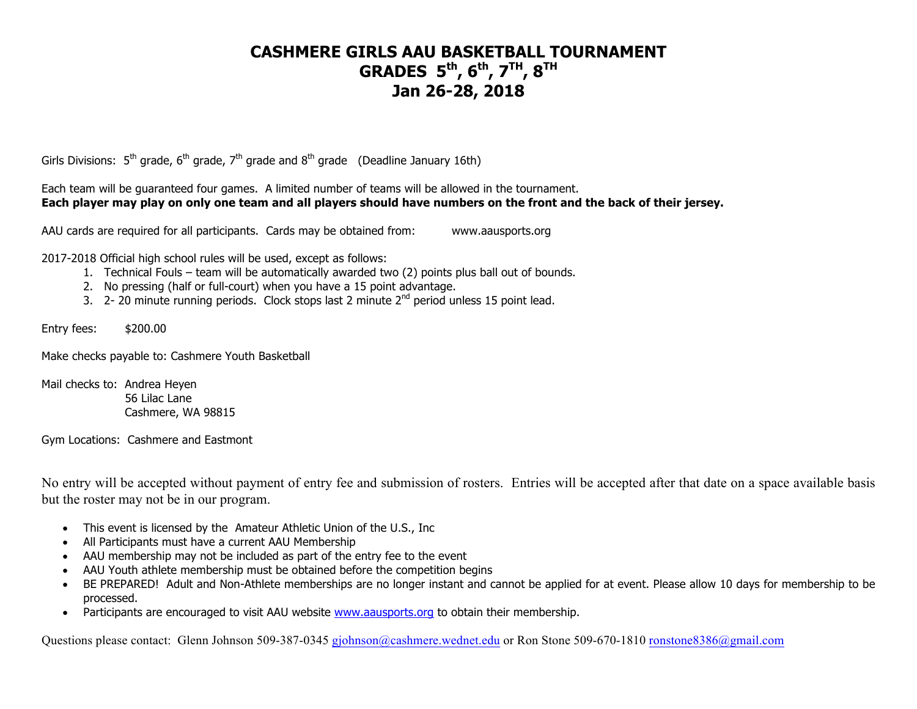# **CASHMERE GIRLS AAU BASKETBALL TOURNAMENT GRADES 5th , 6th , 7TH, 8TH Jan 26-28, 2018**

Girls Divisions:  $5^{th}$  grade,  $6^{th}$  grade,  $7^{th}$  grade and  $8^{th}$  grade (Deadline January 16th)

Each team will be guaranteed four games. A limited number of teams will be allowed in the tournament. **Each player may play on only one team and all players should have numbers on the front and the back of their jersey.**

AAU cards are required for all participants. Cards may be obtained from: www.aausports.org

2017-2018 Official high school rules will be used, except as follows:

- 1. Technical Fouls team will be automatically awarded two (2) points plus ball out of bounds.
- 2. No pressing (half or full-court) when you have a 15 point advantage.
- 3. 2- 20 minute running periods. Clock stops last 2 minute 2<sup>nd</sup> period unless 15 point lead.

Entry fees: \$200.00

Make checks payable to: Cashmere Youth Basketball

Mail checks to: Andrea Heyen 56 Lilac Lane Cashmere, WA 98815

Gym Locations: Cashmere and Eastmont

No entry will be accepted without payment of entry fee and submission of rosters. Entries will be accepted after that date on a space available basis but the roster may not be in our program.

- This event is licensed by the Amateur Athletic Union of the U.S., Inc
- All Participants must have a current AAU Membership
- AAU membership may not be included as part of the entry fee to the event
- AAU Youth athlete membership must be obtained before the competition begins
- BE PREPARED! Adult and Non-Athlete memberships are no longer instant and cannot be applied for at event. Please allow 10 days for membership to be processed.
- Participants are encouraged to visit AAU website www.aausports.org to obtain their membership.

Questions please contact: Glenn Johnson 509-387-0345 gjohnson@cashmere.wednet.edu or Ron Stone 509-670-1810 ronstone8386@gmail.com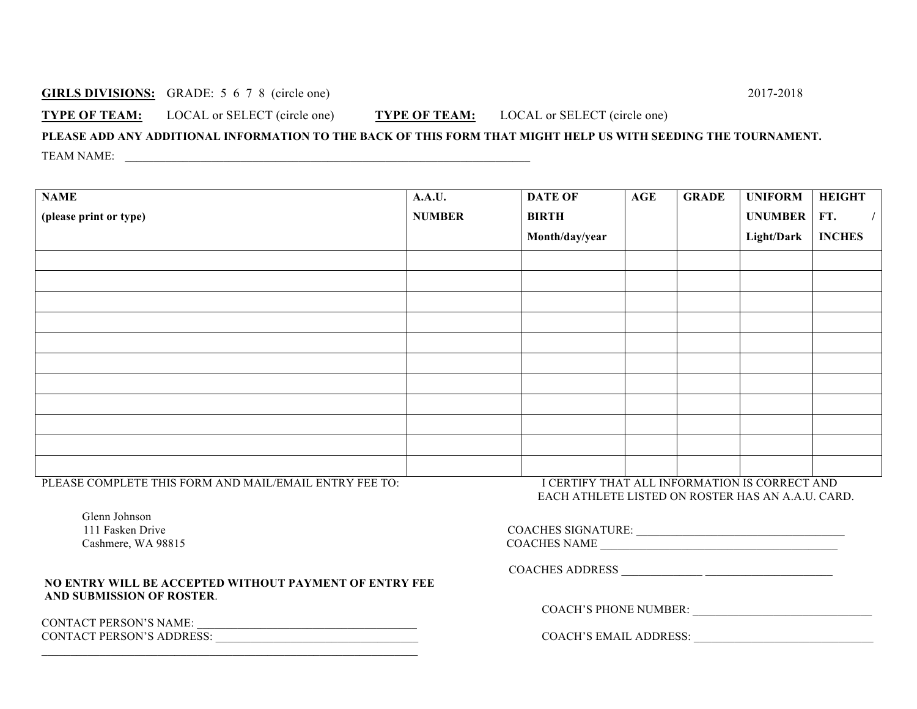#### **GIRLS DIVISIONS:** GRADE: 5 6 7 8 (circle one) 2017-2018

**TYPE OF TEAM:** LOCAL or SELECT (circle one) **TYPE OF TEAM:** LOCAL or SELECT (circle one)

### **PLEASE ADD ANY ADDITIONAL INFORMATION TO THE BACK OF THIS FORM THAT MIGHT HELP US WITH SEEDING THE TOURNAMENT.** TEAM NAME:

| <b>NAME</b>            | <b>A.A.U.</b> | <b>DATE OF</b> | AGE | <b>GRADE</b> | <b>UNIFORM</b> | <b>HEIGHT</b> |
|------------------------|---------------|----------------|-----|--------------|----------------|---------------|
| (please print or type) | <b>NUMBER</b> | <b>BIRTH</b>   |     |              | <b>UNUMBER</b> | FT.           |
|                        |               | Month/day/year |     |              | Light/Dark     | <b>INCHES</b> |
|                        |               |                |     |              |                |               |
|                        |               |                |     |              |                |               |
|                        |               |                |     |              |                |               |
|                        |               |                |     |              |                |               |
|                        |               |                |     |              |                |               |
|                        |               |                |     |              |                |               |
|                        |               |                |     |              |                |               |
|                        |               |                |     |              |                |               |
|                        |               |                |     |              |                |               |
|                        |               |                |     |              |                |               |
|                        |               |                |     |              |                |               |

PLEASE COMPLETE THIS FORM AND MAIL/EMAIL ENTRY FEE TO: I CERTIFY THAT ALL INFORMATION IS CORRECT AND

 Glenn Johnson 111 Fasken Drive Cashmere, WA 98815

#### **NO ENTRY WILL BE ACCEPTED WITHOUT PAYMENT OF ENTRY FEE AND SUBMISSION OF ROSTER**.

CONTACT PERSON'S NAME: \_\_\_\_\_\_\_\_\_\_\_\_\_\_\_\_\_\_\_\_\_\_\_\_\_\_\_\_\_\_\_\_\_\_\_\_\_\_ CONTACT PERSON'S ADDRESS: \_\_\_\_\_\_\_\_\_\_\_\_\_\_\_\_\_\_\_\_\_\_\_\_\_\_\_\_\_\_\_\_\_\_\_ COACH'S EMAIL ADDRESS: \_\_\_\_\_\_\_\_\_\_\_\_\_\_\_\_\_\_\_\_\_\_\_\_\_\_\_\_\_\_\_

EACH ATHLETE LISTED ON ROSTER HAS AN A.A.U. CARD.

| <b>COACHES SIGNATURE:</b> |  |
|---------------------------|--|
| <b>COACHES NAME</b>       |  |

COACHES ADDRESS \_\_\_\_\_\_\_\_\_\_\_\_\_\_ \_\_\_\_\_\_\_\_\_\_\_\_\_\_\_\_\_\_\_\_\_\_

COACH'S PHONE NUMBER: \_\_\_\_\_\_\_\_\_\_\_\_\_\_\_\_\_\_\_\_\_\_\_\_\_\_\_\_\_\_\_